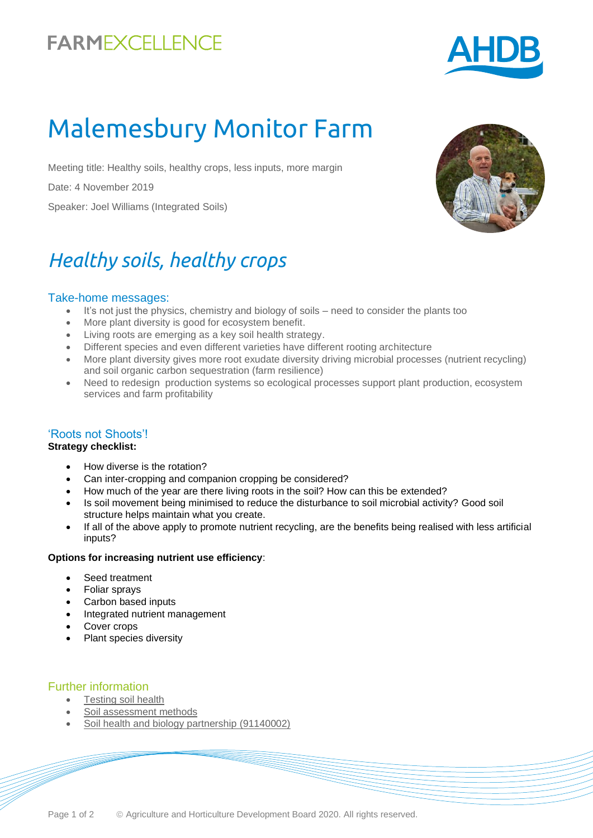## **FARMEXCELLENCE**



# Malemesbury Monitor Farm

Meeting title: Healthy soils, healthy crops, less inputs, more margin

Date: 4 November 2019

Speaker: Joel Williams (Integrated Soils)

## *Healthy soils, healthy crops*

#### Take-home messages:

- It's not just the physics, chemistry and biology of soils need to consider the plants too
- More plant diversity is good for ecosystem benefit.
- Living roots are emerging as a key soil health strategy.
- Different species and even different varieties have different rooting architecture
- More plant diversity gives more root exudate diversity driving microbial processes (nutrient recycling) and soil organic carbon sequestration (farm resilience)
- Need to redesign production systems so ecological processes support plant production, ecosystem services and farm profitability

#### 'Roots not Shoots'!

#### **Strategy checklist:**

- How diverse is the rotation?
- Can inter-cropping and companion cropping be considered?
- How much of the year are there living roots in the soil? How can this be extended?
- Is soil movement being minimised to reduce the disturbance to soil microbial activity? Good soil structure helps maintain what you create.
- If all of the above apply to promote nutrient recycling, are the benefits being realised with less artificial inputs?

#### **Options for increasing nutrient use efficiency**:

- Seed treatment
- Foliar sprays
- Carbon based inputs
- Integrated nutrient management
- Cover crops
- Plant species diversity

#### Further information

- **[Testing soil health](https://ahdb.org.uk/knowledge-library/testing-soil-health)**
- [Soil assessment methods](https://ahdb.org.uk/knowledge-library/greatsoils-soil-assessment-methods)
- [Soil health and biology partnership](https://cereals.ahdb.org.uk/shp) (91140002)